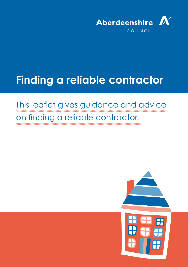

# **Finding a reliable contractor**

## This leaflet gives guidance and advice

### on finding a reliable contractor.

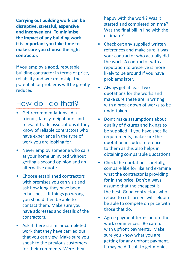**Carrying out building work can be disruptive, stressful, expensive and inconvenient. To minimise the impact of any building work it is important you take time to make sure you choose the right contractor.** 

If you employ a good, reputable building contractor in terms of price, reliability and workmanship, the potential for problems will be greatly reduced.

### How do I do that?

- Get recommendations. Ask friends, family, neighbours and relevant trade associations if they know of reliable contractors who have experience in the type of work you are looking for.
- Never employ someone who calls at your home uninvited without getting a second opinion and an alternative quote.
- Choose established contractors with premises you can visit and ask how long they have been in business. If things go wrong you should then be able to contact them. Make sure you have addresses and details of the contractors.
- Ask if there is similar completed work that they have carried out that you can view. Make sure you speak to the previous customers for their comments. Were they

happy with the work? Was it started and completed on time? Was the final bill in line with the estimate?

- Check out any supplied written references and make sure it was your contractor who actually did the work. A contractor with a reputation to preserve is more likely to be around if you have problems later.
- Always get at least two quotations for the works and make sure these are in writing with a break down of works to be undertaken.
- Don't make assumptions about quality of fixtures and fixings to be supplied. If you have specific requirements, make sure the quotation includes reference to them as this also helps in obtaining comparable quotations.
- Check the quotations carefully, compare like for like and examine what the contractor is providing for in the price. Don't always assume that the cheapest is the best. Good contractors who refuse to cut corners will seldom be able to compete on price with those that do.
- Agree payment terms before the work commences. Be careful with upfront payments. Make sure you know what you are getting for any upfront payment. It may be difficult to get monies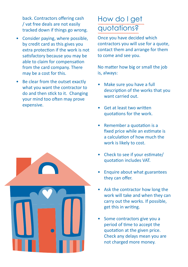back. Contractors offering cash / vat free deals are not easily tracked down if things go wrong.

- Consider paying, where possible, by credit card as this gives you extra protection if the work is not satisfactory because you may be able to claim for compensation from the card company. There may be a cost for this.
- Be clear from the outset exactly what you want the contractor to do and then stick to it. Changing your mind too often may prove expensive.

### How do I get quotations?

Once you have decided which contractors you will use for a quote, contact them and arrange for them to come and see you.

No matter how big or small the job is, always:

- Make sure you have a full description of the works that you want carried out.
- Get at least two written quotations for the work.
- Remember a quotation is a fixed price while an estimate is a calculation of how much the work is likely to cost.
- Check to see if your estimate/ quotation includes VAT.
- Enquire about what guarantees they can offer.
- Ask the contractor how long the work will take and when they can carry out the works. If possible, get this in writing.
- Some contractors give you a period of time to accept the quotation at the given price. Check any delays mean you are not charged more money.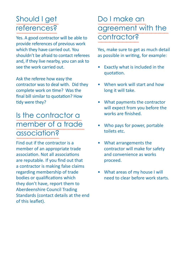### Should I get references?

Yes. A good contractor will be able to provide references of previous work which they have carried out. You shouldn't be afraid to contact referees and, if they live nearby, you can ask to see the work carried out.

Ask the referee how easy the contractor was to deal with. Did they complete work on time? Was the final bill similar to quotation? How tidy were they?

### Is the contractor a member of a trade association?

Find out if the contractor is a member of an appropriate trade association. Not all associations are reputable. If you find out that a contractor is making false claims regarding membership of trade bodies or qualifications which they don't have, report them to Aberdeenshire Council Trading Standards (contact details at the end of this leaflet).

### Do I make an agreement with the contractor?

Yes, make sure to get as much detail as possible in writing, for example:

- Exactly what is included in the quotation.
- When work will start and how long it will take.
- What payments the contractor will expect from you before the works are finished.
- Who pays for power, portable toilets etc.
- What arrangements the contractor will make for safety and convenience as works proceed.
- What areas of my house I will need to clear before work starts.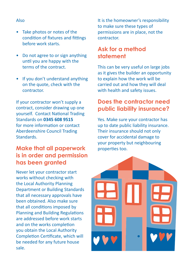#### Also

- Take photos or notes of the condition of fixtures and fittings before work starts.
- Do not agree to or sign anything until you are happy with the terms of the contract.
- If you don't understand anything on the quote, check with the contractor.

If your contractor won't supply a contract, consider drawing up one yourself. Contact National Trading Standards on **0345 608 9515**  for more information or contact Aberdeenshire Council Trading Standards.

### **Make that all paperwork is in order and permission has been granted**

Never let your contractor start works without checking with the Local Authority Planning Department or Building Standards that all necessary approvals have been obtained. Also make sure that all conditions imposed by Planning and Building Regulations are addressed before work starts and on the works completion you obtain the Local Authority Completion Certificate, which will be needed for any future house sale.

It is the homeowner's responsibility to make sure these types of permissions are in place, not the contractor.

#### **Ask for a method statement**

This can be very useful on large jobs as it gives the builder an opportunity to explain how the work will be carried out and how they will deal with health and safety issues.

#### **Does the contractor need public liability insurance?**

Yes. Make sure your contractor has up to date public liability insurance. Their insurance should not only cover for accidental damage to your property but neighbouring properties too.

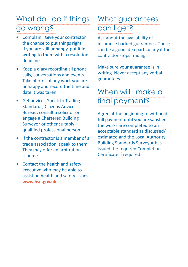### What do I do if things go wrong?

- Complain. Give your contractor the chance to put things right. If you are still unhappy, put it in writing to them with a resolution deadline.
- Keep a diary recording all phone calls, conversations and events. Take photos of any work you are unhappy and record the time and date it was taken.
- Get advice. Speak to Trading Standards, Citizens Advice Bureau, consult a solicitor or engage a Chartered Building Surveyor or other suitably qualified professional person.
- If the contractor is a member of a trade association, speak to them. They may offer an arbitration scheme.
- Contact the health and safety executive who may be able to assist on health and safety issues. **www.hse.gov.uk**

### What guarantees can I get?

Ask about the availability of insurance backed guarantees. These can be a good idea particularly if the contractor stops trading.

Make sure your guarantee is in writing. Never accept any verbal guarantees.

### When will I make a final payment?

Agree at the beginning to withhold full payment until you are satisfied the works are completed to an acceptable standard as discussed/ estimated and the Local Authority Building Standards Surveyor has issued the required Completion Certificate if required.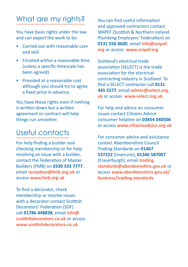### What are my rights?

You have basic rights under the law and can expect the work to be:

- Carried out with reasonable care and skill.
- Finished within a reasonable time (unless a specific timescale has been agreed).
- Provided at a reasonable cost although you should try to agree a fixed price in advance.

You have these rights even if nothing is written down but a written agreement or contract will help things run smoother.

### Useful contacts

For help finding a builder and checking membership or for help resolving an issue with a builder, contact the Federation of Master Builders (FMB) on **0330 333 7777**, email **[reception@fmb.org.uk](mailto:reception%40fmb.org.uk%20?subject=)** or access **www.fmb.org.uk**

To find a decorator, check membership or resolve issues with a decorator contact Scottish Decorators' Federation (SDF) call **01786 448838**, email **[info@](mailto:nfo%40scottishdecorators.co.uk?subject=) [scottishdecorators.co.uk](mailto:nfo%40scottishdecorators.co.uk?subject=)** or access **www.scottishdecorators.co.uk**

You can find useful information and approved contractors contact SNIPEF (Scottish & Northern Ireland Plumbing Employers' Federation) on **0131 556 0600**, email **[info@snipef.](mailto:info%40snipef.org?subject=) [org](mailto:info%40snipef.org?subject=)** or access **www.snipef.org**

Scotland's electrical trade association (SELECT) is the trade association for the electrical contracting industry in Scotland. To find a SELECT contractor call **0131 445 5577**, email **[admin@select.org.](mailto:admin%40select.org.uk?subject=) [uk](mailto:admin%40select.org.uk?subject=)** or access **www.select.org.uk**

For help and advice on consumer issues contact Citizens Advice consumer helpline on **03454 040506**  or access **www.citizensadvice.org.uk**

For consumer advice and assistance contact Aberdeenshire Council Trading Standards on **01467 537222** (Inverurie), **01346 587007** (Fraserburgh), email **[trading.](mailto:trading.standards%40aberdeenshire.gov.uk?subject=) [standards@aberdeenshire.gov.uk](mailto:trading.standards%40aberdeenshire.gov.uk?subject=)** or access **[www.aberdeenshire.gov.uk/](http://www.aberdeenshire.gov.uk/business/trading-standards) [business/trading-standards](http://www.aberdeenshire.gov.uk/business/trading-standards)**